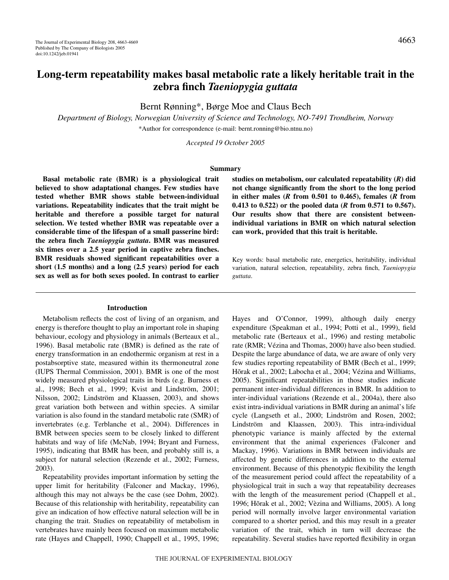# **Long-term repeatability makes basal metabolic rate a likely heritable trait in the zebra finch** *Taeniopygia guttata*

Bernt Rønning\*, Børge Moe and Claus Bech

*Department of Biology, Norwegian University of Science and Technology, NO-7491 Trondheim, Norway* \*Author for correspondence (e-mail: bernt.ronning@bio.ntnu.no)

*Accepted 19 October 2005*

## **Summary**

**Basal metabolic rate (BMR) is a physiological trait believed to show adaptational changes. Few studies have tested whether BMR shows stable between-individual variations. Repeatability indicates that the trait might be heritable and therefore a possible target for natural selection. We tested whether BMR was repeatable over a considerable time of the lifespan of a small passerine bird: the zebra finch** *Taeniopygia guttata***. BMR was measured six times over a 2.5 year period in captive zebra finches. BMR residuals showed significant repeatabilities over a short (1.5 months) and a long (2.5 years) period for each sex as well as for both sexes pooled. In contrast to earlier**

#### **Introduction**

Metabolism reflects the cost of living of an organism, and energy is therefore thought to play an important role in shaping behaviour, ecology and physiology in animals (Berteaux et al., 1996). Basal metabolic rate (BMR) is defined as the rate of energy transformation in an endothermic organism at rest in a postabsorptive state, measured within its thermoneutral zone (IUPS Thermal Commission, 2001). BMR is one of the most widely measured physiological traits in birds (e.g. Burness et al., 1998; Bech et al., 1999; Kvist and Lindström, 2001; Nilsson, 2002; Lindström and Klaassen, 2003), and shows great variation both between and within species. A similar variation is also found in the standard metabolic rate (SMR) of invertebrates (e.g. Terblanche et al., 2004). Differences in BMR between species seem to be closely linked to different habitats and way of life (McNab, 1994; Bryant and Furness, 1995), indicating that BMR has been, and probably still is, a subject for natural selection (Rezende et al., 2002; Furness, 2003).

Repeatability provides important information by setting the upper limit for heritability (Falconer and Mackay, 1996), although this may not always be the case (see Dohm, 2002). Because of this relationship with heritability, repeatability can give an indication of how effective natural selection will be in changing the trait. Studies on repeatability of metabolism in vertebrates have mainly been focused on maximum metabolic rate (Hayes and Chappell, 1990; Chappell et al., 1995, 1996;

**studies on metabolism, our calculated repeatability (***R***) did not change significantly from the short to the long period in either males (***R* **from 0.501 to 0.465), females (***R* **from 0.413 to 0.522) or the pooled data (***R* **from 0.571 to 0.567). Our results show that there are consistent betweenindividual variations in BMR on which natural selection can work, provided that this trait is heritable.**

Key words: basal metabolic rate, energetics, heritability, individual variation, natural selection, repeatability, zebra finch, *Taeniopygia guttata*.

Hayes and O'Connor, 1999), although daily energy expenditure (Speakman et al., 1994; Potti et al., 1999), field metabolic rate (Berteaux et al., 1996) and resting metabolic rate (RMR; Vézina and Thomas, 2000) have also been studied. Despite the large abundance of data, we are aware of only very few studies reporting repeatability of BMR (Bech et al., 1999; Hõrak et al., 2002; Labocha et al., 2004; Vézina and Williams, 2005). Significant repeatabilities in those studies indicate permanent inter-individual differences in BMR. In addition to inter-individual variations (Rezende et al., 2004a), there also exist intra-individual variations in BMR during an animal's life cycle (Langseth et al., 2000; Lindström and Rosen, 2002; Lindström and Klaassen, 2003). This intra-individual phenotypic variance is mainly affected by the external environment that the animal experiences (Falconer and Mackay, 1996). Variations in BMR between individuals are affected by genetic differences in addition to the external environment. Because of this phenotypic flexibility the length of the measurement period could affect the repeatability of a physiological trait in such a way that repeatability decreases with the length of the measurement period (Chappell et al., 1996; Hõrak et al., 2002; Vèzina and Williams, 2005). A long period will normally involve larger environmental variation compared to a shorter period, and this may result in a greater variation of the trait, which in turn will decrease the repeatability. Several studies have reported flexibility in organ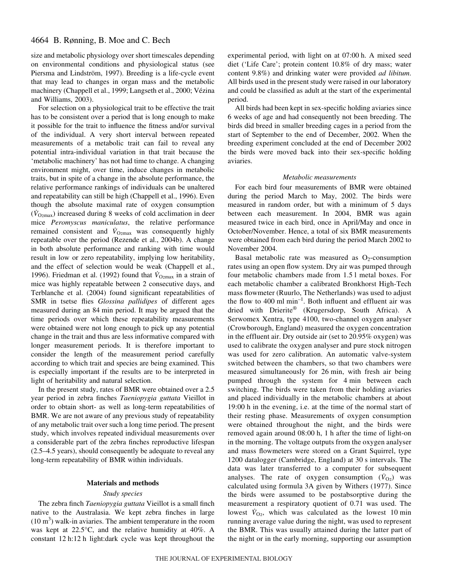# 4664 B. Rønning, B. Moe and C. Bech

size and metabolic physiology over short timescales depending on environmental conditions and physiological status (see Piersma and Lindström, 1997). Breeding is a life-cycle event that may lead to changes in organ mass and the metabolic machinery (Chappell et al., 1999; Langseth et al., 2000; Vézina and Williams, 2003).

For selection on a physiological trait to be effective the trait has to be consistent over a period that is long enough to make it possible for the trait to influence the fitness and/or survival of the individual. A very short interval between repeated measurements of a metabolic trait can fail to reveal any potential intra-individual variation in that trait because the 'metabolic machinery' has not had time to change. A changing environment might, over time, induce changes in metabolic traits, but in spite of a change in the absolute performance, the relative performance rankings of individuals can be unaltered and repeatability can still be high (Chappell et al., 1996). Even though the absolute maximal rate of oxygen consumption  $(\dot{V}_{\text{O2max}})$  increased during 8 weeks of cold acclimation in deer mice *Peromyscus maniculatus*, the relative performance remained consistent and  $\dot{V}_{\text{O2max}}$  was consequently highly repeatable over the period (Rezende et al., 2004b). A change in both absolute performance and ranking with time would result in low or zero repeatability, implying low heritability, and the effect of selection would be weak (Chappell et al., 1996). Friedman et al. (1992) found that  $\dot{V}_{\text{O}2\text{max}}$  in a strain of mice was highly repeatable between 2 consecutive days, and Terblanche et al. (2004) found significant repeatabilities of SMR in tsetse flies *Glossina pallidipes* of different ages measured during an 84 min period. It may be argued that the time periods over which these repeatability measurements were obtained were not long enough to pick up any potential change in the trait and thus are less informative compared with longer measurement periods. It is therefore important to consider the length of the measurement period carefully according to which trait and species are being examined. This is especially important if the results are to be interpreted in light of heritability and natural selection.

In the present study, rates of BMR were obtained over a 2.5 year period in zebra finches *Taeniopygia guttata* Vieillot in order to obtain short- as well as long-term repeatabilities of BMR. We are not aware of any previous study of repeatability of any metabolic trait over such a long time period. The present study, which involves repeated individual measurements over a considerable part of the zebra finches reproductive lifespan (2.5–4.5 years), should consequently be adequate to reveal any long-term repeatability of BMR within individuals.

## **Materials and methods**

## *Study species*

The zebra finch *Taeniopygia guttata* Vieillot is a small finch native to the Australasia. We kept zebra finches in large  $(10 \text{ m}^3)$  walk-in aviaries. The ambient temperature in the room was kept at 22.5°C, and the relative humidity at 40%. A constant 12 h:12 h light:dark cycle was kept throughout the experimental period, with light on at  $07:00$  h. A mixed seed diet ('Life Care'; protein content 10.8% of dry mass; water content 9.8%) and drinking water were provided *ad libitum*. All birds used in the present study were raised in our laboratory and could be classified as adult at the start of the experimental period.

All birds had been kept in sex-specific holding aviaries since 6 weeks of age and had consequently not been breeding. The birds did breed in smaller breeding cages in a period from the start of September to the end of December, 2002. When the breeding experiment concluded at the end of December 2002 the birds were moved back into their sex-specific holding aviaries.

#### *Metabolic measurements*

For each bird four measurements of BMR were obtained during the period March to May, 2002. The birds were measured in random order, but with a minimum of 5 days between each measurement. In 2004, BMR was again measured twice in each bird, once in April/May and once in October/November. Hence, a total of six BMR measurements were obtained from each bird during the period March 2002 to November 2004.

Basal metabolic rate was measured as  $O<sub>2</sub>$ -consumption rates using an open flow system. Dry air was pumped through four metabolic chambers made from 1.5 l metal boxes. For each metabolic chamber a calibrated Bronkhorst High-Tech mass flowmeter (Ruurlo, The Netherlands) was used to adjust the flow to 400  $\text{ml min}^{-1}$ . Both influent and effluent air was dried with Drierite® (Krugersdorp, South Africa). A Serwomex Xentra, type 4100, two-channel oxygen analyser (Crowborough, England) measured the oxygen concentration in the effluent air. Dry outside air (set to 20.95% oxygen) was used to calibrate the oxygen analyser and pure stock nitrogen was used for zero calibration. An automatic valve-system switched between the chambers, so that two chambers were measured simultaneously for 26 min, with fresh air being pumped through the system for 4 min between each switching. The birds were taken from their holding aviaries and placed individually in the metabolic chambers at about 19:00 h in the evening, i.e. at the time of the normal start of their resting phase. Measurements of oxygen consumption were obtained throughout the night, and the birds were removed again around 08:00 h, 1 h after the time of light-on in the morning. The voltage outputs from the oxygen analyser and mass flowmeters were stored on a Grant Squirrel, type 1200 datalogger (Cambridge, England) at 30 s intervals. The data was later transferred to a computer for subsequent analyses. The rate of oxygen consumption  $(\dot{V}_{02})$  was calculated using formula 3A given by Withers (1977). Since the birds were assumed to be postabsorptive during the measurement a respiratory quotient of 0.71 was used. The lowest  $\dot{V}_{\text{O}_2}$ , which was calculated as the lowest 10 min running average value during the night, was used to represent the BMR. This was usually attained during the latter part of the night or in the early morning, supporting our assumption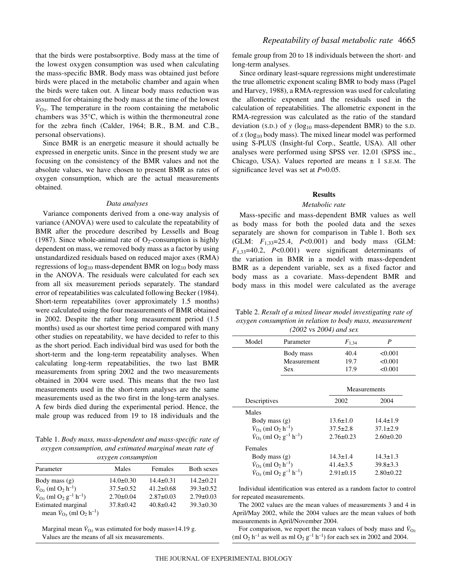that the birds were postabsorptive. Body mass at the time of the lowest oxygen consumption was used when calculating the mass-specific BMR. Body mass was obtained just before birds were placed in the metabolic chamber and again when the birds were taken out. A linear body mass reduction was assumed for obtaining the body mass at the time of the lowest  $\dot{V}_{\Omega_2}$ . The temperature in the room containing the metabolic chambers was 35°C, which is within the thermoneutral zone for the zebra finch (Calder, 1964; B.R., B.M. and C.B., personal observations).

Since BMR is an energetic measure it should actually be expressed in energetic units. Since in the present study we are focusing on the consistency of the BMR values and not the absolute values, we have chosen to present BMR as rates of oxygen consumption, which are the actual measurements obtained.

#### *Data analyses*

Variance components derived from a one-way analysis of variance (ANOVA) were used to calculate the repeatability of BMR after the procedure described by Lessells and Boag (1987). Since whole-animal rate of  $O<sub>2</sub>$ -consumption is highly dependent on mass, we removed body mass as a factor by using unstandardized residuals based on reduced major axes (RMA) regressions of  $log_{10}$  mass-dependent BMR on  $log_{10}$  body mass in the ANOVA. The residuals were calculated for each sex from all six measurement periods separately. The standard error of repeatabilities was calculated following Becker (1984). Short-term repeatabilites (over approximately 1.5 months) were calculated using the four measurements of BMR obtained in 2002. Despite the rather long measurement period (1.5 months) used as our shortest time period compared with many other studies on repeatability, we have decided to refer to this as the short period. Each individual bird was used for both the short-term and the long-term repeatability analyses. When calculating long-term repeatabilities, the two last BMR measurements from spring 2002 and the two measurements obtained in 2004 were used. This means that the two last measurements used in the short-term analyses are the same measurements used as the two first in the long-term analyses. A few birds died during the experimental period. Hence, the male group was reduced from 19 to 18 individuals and the

Table 1. *Body mass, mass-dependent and mass-specific rate of oxygen consumption, and estimated marginal mean rate of oxygen consumption*

| Parameter                                                            | Males           | Females         | Both sexes      |
|----------------------------------------------------------------------|-----------------|-----------------|-----------------|
| Body mass $(g)$                                                      | $14.0 \pm 0.30$ | $14.4 \pm 0.31$ | $14.2 \pm 0.21$ |
| $\dot{V}_{\text{O}_2}$ (ml $\text{O}_2$ h <sup>-1</sup> )            | $37.5 \pm 0.52$ | $41.2 \pm 0.68$ | $39.3 \pm 0.52$ |
| $\dot{V}_{O_2}$ (ml O <sub>2</sub> g <sup>-1</sup> h <sup>-1</sup> ) | $2.70 \pm 0.04$ | $2.87 \pm 0.03$ | $2.79 \pm 0.03$ |
| Estimated marginal                                                   | $37.8 \pm 0.42$ | $40.8 \pm 0.42$ | $39.3 \pm 0.30$ |
| mean $V_{\Omega_2}$ (ml $O_2$ h <sup>-1</sup> )                      |                 |                 |                 |

Marginal mean  $\dot{V}_{O2}$  was estimated for body mass=14.19 g. Values are the means of all six measurements.

female group from 20 to 18 individuals between the short- and long-term analyses.

Since ordinary least-square regressions might underestimate the true allometric exponent scaling BMR to body mass (Pagel and Harvey, 1988), a RMA-regression was used for calculating the allometric exponent and the residuals used in the calculation of repeatabilities. The allometric exponent in the RMA-regression was calculated as the ratio of the standard deviation (s.p.) of  $y$  (log<sub>10</sub> mass-dependent BMR) to the s.p. of  $x$  (log<sub>10</sub> body mass). The mixed linear model was performed using S-PLUS (Insight-ful Corp., Seattle, USA). All other analyses were performed using SPSS ver. 12.01 (SPSS inc., Chicago, USA). Values reported are means  $\pm$  1 s.e.m. The significance level was set at *P*=0.05.

## **Results**

## *Metabolic rate*

Mass-specific and mass-dependent BMR values as well as body mass for both the pooled data and the sexes separately are shown for comparison in Table 1. Both sex (GLM: *F*1,33=25.4, *P*<0.001) and body mass (GLM: *F*1,33=40.2, *P*<0.001) were significant determinants of the variation in BMR in a model with mass-dependent BMR as a dependent variable, sex as a fixed factor and body mass as a covariate. Mass-dependent BMR and body mass in this model were calculated as the average

Table 2. *Result of a mixed linear model investigating rate of oxygen consumption in relation to body mass, measurement (2002* vs *2004) and sex*

|                                                                  | Model<br>Parameter                                               |                 | $F_{1,34}$      | P               |  |
|------------------------------------------------------------------|------------------------------------------------------------------|-----------------|-----------------|-----------------|--|
|                                                                  | Body mass                                                        |                 | 40.4            | < 0.001         |  |
|                                                                  |                                                                  | Measurement     | 19.7            | < 0.001         |  |
|                                                                  |                                                                  | <b>Sex</b>      | 17.9            | < 0.001         |  |
|                                                                  |                                                                  |                 |                 |                 |  |
|                                                                  |                                                                  |                 | Measurements    |                 |  |
|                                                                  | Descriptives                                                     |                 | 2002            | 2004            |  |
|                                                                  | Males                                                            |                 |                 |                 |  |
|                                                                  | Body mass $(g)$                                                  |                 | $13.6 \pm 1.0$  | $14.4 \pm 1.9$  |  |
|                                                                  | $\dot{V}_{\Omega_2}$ (ml $O_2$ h <sup>-1</sup> )                 |                 | $37.5 \pm 2.8$  | $37.1 \pm 2.9$  |  |
|                                                                  | $\dot{V}_{\Omega_2}$ (ml $O_2$ g <sup>-1</sup> h <sup>-1</sup> ) |                 | $2.76 \pm 0.23$ | $2.60 \pm 0.20$ |  |
|                                                                  | Females                                                          |                 |                 |                 |  |
|                                                                  | Body mass (g)                                                    |                 | $14.3 \pm 1.4$  | $14.3 \pm 1.3$  |  |
|                                                                  | $\dot{V}_{\text{O}_2}$ (ml $\text{O}_2$ h <sup>-1</sup> )        |                 | $41.4 \pm 3.5$  | $39.8 \pm 3.3$  |  |
| $\dot{V}_{\Omega_2}$ (ml $O_2$ g <sup>-1</sup> h <sup>-1</sup> ) |                                                                  | $2.91 \pm 0.15$ | $2.80 \pm 0.22$ |                 |  |
|                                                                  |                                                                  |                 |                 |                 |  |

Individual identification was entered as a random factor to control for repeated measurements.

The 2002 values are the mean values of measurements 3 and 4 in April/May 2002, while the 2004 values are the mean values of both measurements in April/November 2004.

For comparison, we report the mean values of body mass and  $\dot{V}_{O2}$ (ml O<sub>2</sub> h<sup>-1</sup> as well as ml O<sub>2</sub> g<sup>-1</sup> h<sup>-1</sup>) for each sex in 2002 and 2004.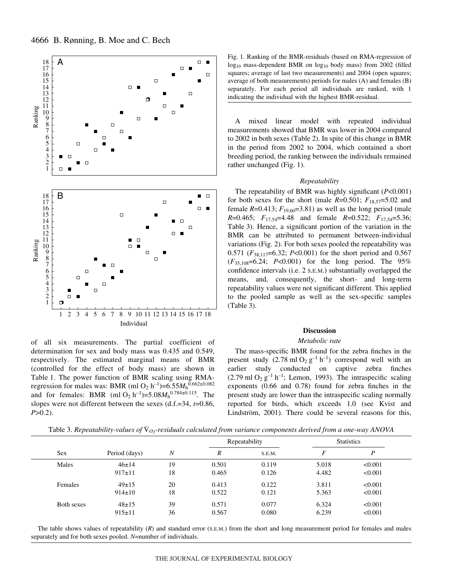

of all six measurements. The partial coefficient of determination for sex and body mass was 0.435 and 0.549, respectively. The estimated marginal means of BMR (controlled for the effect of body mass) are shown in Table 1. The power function of BMR scaling using RMAregression for males was: BMR (ml O<sub>2</sub> h<sup>-1</sup>)=6.55 $M_b^{0.662\pm0.082}$ and for females: BMR (ml O<sub>2</sub> h<sup>-1</sup>)=5.08 $M_b^{0.784\pm0.115}$ . The slopes were not different between the sexes (d.f.=34, *t*=0.86, *P*>0.2).

| Fig. 1. Ranking of the BMR-residuals (based on RMA-regression of         |
|--------------------------------------------------------------------------|
| $log_{10}$ mass-dependent BMR on $log_{10}$ body mass) from 2002 (filled |
| squares; average of last two measurements) and 2004 (open squares;       |
| average of both measurements) periods for males $(A)$ and females $(B)$  |
| separately. For each period all individuals are ranked, with 1           |
| indicating the individual with the highest BMR-residual.                 |

A mixed linear model with repeated individual measurements showed that BMR was lower in 2004 compared to 2002 in both sexes (Table 2). In spite of this change in BMR in the period from 2002 to 2004, which contained a short breeding period, the ranking between the individuals remained rather unchanged (Fig. 1).

## *Repeatability*

The repeatability of BMR was highly significant (*P*<0.001) for both sexes for the short (male  $R=0.501$ ;  $F_{18,57}=5.02$  and female  $R=0.413$ ;  $F_{19,60}=3.81$ ) as well as the long period (male *R*=0.465; *F*17,54=4.48 and female *R*=0.522; *F*17,54=5.36; Table 3). Hence, a significant portion of the variation in the BMR can be attributed to permanent between-individual variations (Fig. 2). For both sexes pooled the repeatability was 0.571 (*F*38,117=6.32; *P*<0.001) for the short period and 0.567 (*F*35,108=6.24; *P*<0.001) for the long period. The 95% confidence intervals (i.e. 2 S.E.M.) substantially overlapped the means, and, consequently, the short- and long-term repeatability values were not significant different. This applied to the pooled sample as well as the sex-specific samples  $(Table 3)$ .

## **Discussion**

## *Metabolic rate*

The mass-specific BMR found for the zebra finches in the present study  $(2.78 \text{ ml } \text{O}_2 \text{ g}^{-1} \text{ h}^{-1})$  correspond well with an earlier study conducted on captive zebra finches  $(2.79 \text{ ml } O_2 \text{ g}^{-1} \text{ h}^{-1}$ ; Lemon, 1993). The intraspecific scaling exponents (0.66 and 0.78) found for zebra finches in the present study are lower than the intraspecific scaling normally reported for birds, which exceeds 1.0 (see Kvist and Lindström, 2001). There could be several reasons for this,

|            |               |                  |    | Repeatability |       | <b>Statistics</b> |         |  |
|------------|---------------|------------------|----|---------------|-------|-------------------|---------|--|
| <b>Sex</b> | Period (days) | $\boldsymbol{N}$ | R  | S.E.M.        | F     | P                 |         |  |
|            | Males         | $46 \pm 14$      | 19 | 0.501         | 0.119 | 5.018             | < 0.001 |  |
|            |               | $917 \pm 11$     | 18 | 0.465         | 0.126 | 4.482             | < 0.001 |  |
|            | Females       | $49 \pm 15$      | 20 | 0.413         | 0.122 | 3.811             | < 0.001 |  |
|            |               | $914 \pm 10$     | 18 | 0.522         | 0.121 | 5.363             | < 0.001 |  |
|            | Both sexes    | $48+15$          | 39 | 0.571         | 0.077 | 6.324             | < 0.001 |  |

Table 3. *Repeatability-values of*  $\dot{V}_{Q}$ -residuals calculated from variance components derived from a one-way ANOVA

The table shows values of repeatability (*R*) and standard error (S.E.M.) from the short and long measurement period for females and males separately and for both sexes pooled. *N*=number of individuals.

915±11 36 0.567 0.080 6.239 <0.001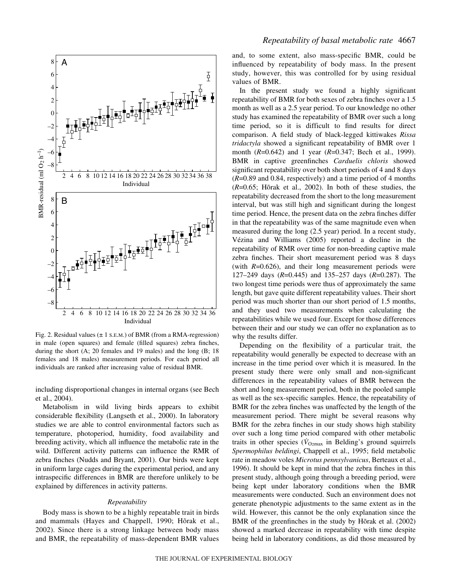

Fig. 2. Residual values ( $\pm$  1 s.E.M.) of BMR (from a RMA-regression) in male (open squares) and female (filled squares) zebra finches, during the short (A; 20 females and 19 males) and the long (B; 18 females and 18 males) measurement periods. For each period all individuals are ranked after increasing value of residual BMR.

including disproportional changes in internal organs (see Bech et al., 2004).

Metabolism in wild living birds appears to exhibit considerable flexibility (Langseth et al., 2000). In laboratory studies we are able to control environmental factors such as temperature, photoperiod, humidity, food availability and breeding activity, which all influence the metabolic rate in the wild. Different activity patterns can influence the RMR of zebra finches (Nudds and Bryant, 2001). Our birds were kept in uniform large cages during the experimental period, and any intraspecific differences in BMR are therefore unlikely to be explained by differences in activity patterns.

## *Repeatability*

Body mass is shown to be a highly repeatable trait in birds and mammals (Hayes and Chappell, 1990; Hõrak et al., 2002). Since there is a strong linkage between body mass and BMR, the repeatability of mass-dependent BMR values and, to some extent, also mass-specific BMR, could be influenced by repeatability of body mass. In the present study, however, this was controlled for by using residual values of BMR.

In the present study we found a highly significant repeatability of BMR for both sexes of zebra finches over a 1.5 month as well as a 2.5 year period. To our knowledge no other study has examined the repeatability of BMR over such a long time period, so it is difficult to find results for direct comparison. A field study of black-legged kittiwakes *Rissa tridactyla* showed a significant repeatability of BMR over 1 month (*R*=0.642) and 1 year (*R*=0.347; Bech et al., 1999). BMR in captive greenfinches *Carduelis chloris* showed significant repeatability over both short periods of 4 and 8 days (*R*=0.89 and 0.84, respectively) and a time period of 4 months (*R*=0.65; Hõrak et al., 2002). In both of these studies, the repeatability decreased from the short to the long measurement interval, but was still high and significant during the longest time period. Hence, the present data on the zebra finches differ in that the repeatability was of the same magnitude even when measured during the long (2.5 year) period. In a recent study, Vézina and Williams (2005) reported a decline in the repeatability of RMR over time for non-breeding captive male zebra finches. Their short measurement period was 8 days (with *R*=0.626), and their long measurement periods were 127–249 days (*R*=0.445) and 135–257 days (*R*=0.287). The two longest time periods were thus of approximately the same length, but gave quite different repeatability values. Their short period was much shorter than our short period of 1.5 months, and they used two measurements when calculating the repeatabilities while we used four. Except for those differences between their and our study we can offer no explanation as to why the results differ.

Depending on the flexibility of a particular trait, the repeatability would generally be expected to decrease with an increase in the time period over which it is measured. In the present study there were only small and non-significant differences in the repeatability values of BMR between the short and long measurement period, both in the pooled sample as well as the sex-specific samples. Hence, the repeatability of BMR for the zebra finches was unaffected by the length of the measurement period. There might be several reasons why BMR for the zebra finches in our study shows high stability over such a long time period compared with other metabolic traits in other species ( $\dot{V}_{\text{O}2\text{max}}$  in Belding's ground squirrels *Spermophilus beldingi*, Chappell et al., 1995; field metabolic rate in meadow voles *Microtus pennsylvanicus*, Berteaux et al., 1996). It should be kept in mind that the zebra finches in this present study, although going through a breeding period, were being kept under laboratory conditions when the BMR measurements were conducted. Such an environment does not generate phenotypic adjustments to the same extent as in the wild. However, this cannot be the only explanation since the BMR of the greenfinches in the study by Hõrak et al. (2002) showed a marked decrease in repeatability with time despite being held in laboratory conditions, as did those measured by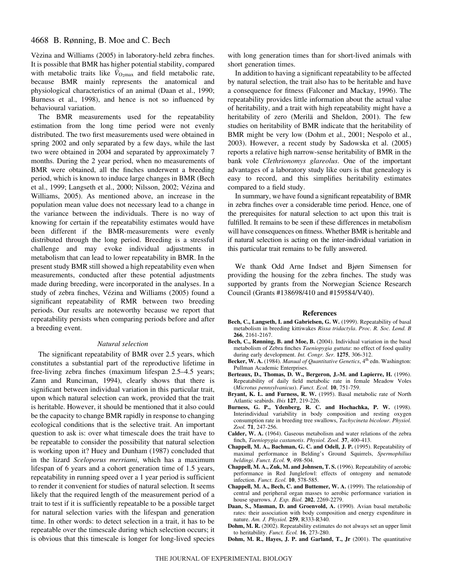# 4668 B. Rønning, B. Moe and C. Bech

Vèzina and Williams (2005) in laboratory-held zebra finches. It is possible that BMR has higher potential stability, compared with metabolic traits like  $\dot{V}_{\text{O}2\text{max}}$  and field metabolic rate, because BMR mainly represents the anatomical and physiological characteristics of an animal (Daan et al., 1990; Burness et al., 1998), and hence is not so influenced by behavioural variation.

The BMR measurements used for the repeatability estimation from the long time period were not evenly distributed. The two first measurements used were obtained in spring 2002 and only separated by a few days, while the last two were obtained in 2004 and separated by approximately 7 months. During the 2 year period, when no measurements of BMR were obtained, all the finches underwent a breeding period, which is known to induce large changes in BMR (Bech et al., 1999; Langseth et al., 2000; Nilsson, 2002; Vézina and Williams, 2005). As mentioned above, an increase in the population mean value does not necessary lead to a change in the variance between the individuals. There is no way of knowing for certain if the repeatability estimates would have been different if the BMR-measurements were evenly distributed through the long period. Breeding is a stressful challenge and may evoke individual adjustments in metabolism that can lead to lower repeatability in BMR. In the present study BMR still showed a high repeatability even when measurements, conducted after these potential adjustments made during breeding, were incorporated in the analyses. In a study of zebra finches, Vézina and Williams (2005) found a significant repeatability of RMR between two breeding periods. Our results are noteworthy because we report that repeatability persists when comparing periods before and after a breeding event.

#### *Natural selection*

The significant repeatability of BMR over 2.5 years, which constitutes a substantial part of the reproductive lifetime in free-living zebra finches (maximum lifespan 2.5–4.5 years; Zann and Runciman, 1994), clearly shows that there is significant between individual variation in this particular trait, upon which natural selection can work, provided that the trait is heritable. However, it should be mentioned that it also could be the capacity to change BMR rapidly in response to changing ecological conditions that is the selective trait. An important question to ask is: over what timescale does the trait have to be repeatable to consider the possibility that natural selection is working upon it? Huey and Dunham (1987) concluded that in the lizard *Sceloporus merriami*, which has a maximum lifespan of 6 years and a cohort generation time of 1.5 years, repeatability in running speed over a 1 year period is sufficient to render it convenient for studies of natural selection. It seems likely that the required length of the measurement period of a trait to test if it is sufficiently repeatable to be a possible target for natural selection varies with the lifespan and generation time. In other words: to detect selection in a trait, it has to be repeatable over the timescale during which selection occurs; it is obvious that this timescale is longer for long-lived species

with long generation times than for short-lived animals with short generation times.

In addition to having a significant repeatability to be affected by natural selection, the trait also has to be heritable and have a consequence for fitness (Falconer and Mackay, 1996). The repeatability provides little information about the actual value of heritability, and a trait with high repeatability might have a heritability of zero (Merilä and Sheldon, 2001). The few studies on heritability of BMR indicate that the heritability of BMR might be very low (Dohm et al., 2001; Nespolo et al., 2003). However, a recent study by Sadowska et al. (2005) reports a relative high narrow-sense heritability of BMR in the bank vole *Clethrionomys glareolus*. One of the important advantages of a laboratory study like ours is that genealogy is easy to record, and this simplifies heritability estimates compared to a field study.

In summary, we have found a significant repeatability of BMR in zebra finches over a considerable time period. Hence, one of the prerequisites for natural selection to act upon this trait is fulfilled. It remains to be seen if these differences in metabolism will have consequences on fitness. Whether BMR is heritable and if natural selection is acting on the inter-individual variation in this particular trait remains to be fully answered.

We thank Odd Arne Indset and Bjørn Simensen for providing the housing for the zebra finches. The study was supported by grants from the Norwegian Science Research Council (Grants #138698/410 and #159584/V40).

#### **References**

- **Bech, C., Langseth, I. and Gabrielsen, G. W.** (1999). Repeatability of basal metabolism in breeding kittiwakes *Rissa tridactyla*. *Proc. R. Soc. Lond. B* **266**, 2161-2167.
- **Bech, C., Rønning, B. and Moe, B.** (2004). Individual variation in the basal metabolism of Zebra finches *Taeniopygia guttata*: no effect of food quality during early development. *Int. Congr. Ser.* **1275**, 306-312.
- Becker, W. A. (1984). *Manual of Quantitative Genetics*, 4<sup>th</sup> edn. Washington: Pullman Academic Enterprises.
- **Berteaux, D., Thomas, D. W., Bergeron, J.-M. and Lapierre, H.** (1996). Repeatability of daily field metabolic rate in female Meadow Voles (*Microtus pennsylvanicus*). *Funct. Ecol.* **10**, 751-759.
- **Bryant, K. L. and Furness, R. W.** (1995). Basal metabolic rate of North Atlantic seabirds. *Ibis* **127**, 219-226.
- **Burness, G. P., Ydenberg, R. C. and Hochachka, P. W.** (1998). Interindividual variability in body composition and resting oxygen consumption rate in breeding tree swallows, *Tachycineta bicolour*. *Physiol. Zool.* **71**, 247-256.
- **Calder, W. A.** (1964). Gaseous metabolism and water relations of the zebra finch, *Taeniopygia castanotis*. *Physiol. Zool.* **37**, 400-413.
- **Chappell, M. A., Bachman, G. C. and Odell, J. P.** (1995). Repeatability of maximal performance in Belding's Ground Squirrels, *Spermophilius beldingi*. *Funct. Ecol.* **9**, 498-504.
- **Chappell, M. A., Zuk, M. and Johnsen, T. S.** (1996). Repeatability of aerobic performance in Red Junglefowl: effects of ontogeny and nematode infection. *Funct. Ecol.* **10**, 578-585.
- **Chappell, M. A., Bech, C. and Buttemer, W. A.** (1999). The relationship of central and peripheral organ masses to aerobic performance variation in house sparrows. *J. Exp. Biol.* **202**, 2269-2279.
- **Daan, S., Masman, D. and Groenvold, A.** (1990). Avian basal metabolic rates: their association with body composition and energy expenditure in nature. *Am. J. Physiol.* **259**, R333-R340.
- **Dohm, M. R.** (2002). Repeatability estimates do not always set an upper limit to heritability. *Funct. Ecol.* **16**, 273-280.
- **Dohm, M. R., Hayes, J. P. and Garland, T., Jr** (2001). The quantitative